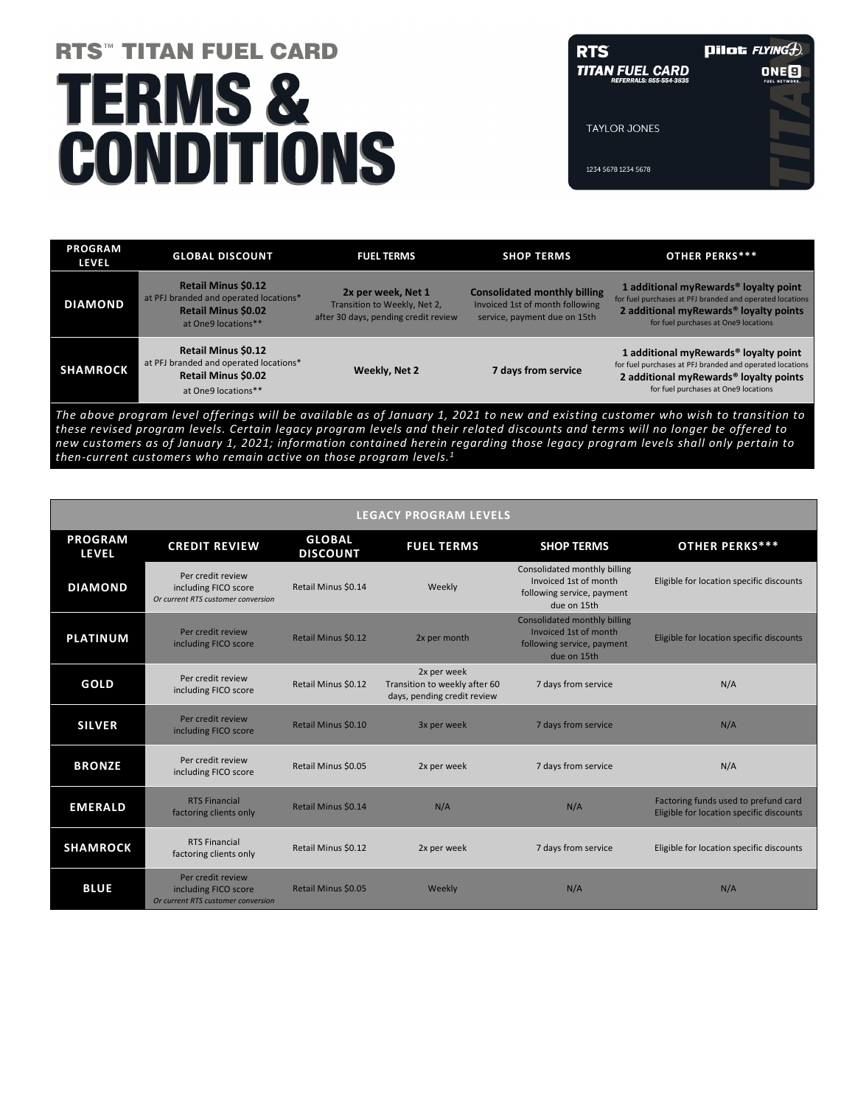# **RTS<sup>T</sup> TITAN FUEL CARD TERMS&** CONDITIONS

**RTS Pilot**  $FLYINGD$ **TITAN FUEL CARD ONE<sup>9</sup> TAYLOR JONES** 1234 5678 1234 5678

| <b>Retail Minus \$0.12</b><br><b>Consolidated monthly billing</b><br>2x per week, Net 1<br>at PFJ branded and operated locations*<br><b>DIAMOND</b><br>Invoiced 1st of month following<br>Transition to Weekly, Net 2,<br><b>Retail Minus \$0.02</b><br>after 30 days, pending credit review<br>service, payment due on 15th<br>for fuel purchases at One9 locations<br>at One9 locations**<br><b>Retail Minus \$0.12</b><br>at PFJ branded and operated locations*<br><b>SHAMROCK</b><br>Weekly, Net 2<br>7 days from service<br><b>Retail Minus \$0.02</b> | <b>PROGRAM</b><br><b>LEVEL</b> | <b>GLOBAL DISCOUNT</b> | <b>FUEL TERMS</b> | <b>SHOP TERMS</b> | <b>OTHER PERKS***</b>                                                                                                                                               |
|--------------------------------------------------------------------------------------------------------------------------------------------------------------------------------------------------------------------------------------------------------------------------------------------------------------------------------------------------------------------------------------------------------------------------------------------------------------------------------------------------------------------------------------------------------------|--------------------------------|------------------------|-------------------|-------------------|---------------------------------------------------------------------------------------------------------------------------------------------------------------------|
|                                                                                                                                                                                                                                                                                                                                                                                                                                                                                                                                                              |                                |                        |                   |                   | 1 additional myRewards <sup>®</sup> loyalty point<br>for fuel purchases at PFJ branded and operated locations<br>2 additional myRewards <sup>®</sup> loyalty points |
| for fuel purchases at One9 locations<br>at One9 locations**                                                                                                                                                                                                                                                                                                                                                                                                                                                                                                  |                                |                        |                   |                   | 1 additional myRewards <sup>®</sup> loyalty point<br>for fuel purchases at PFJ branded and operated locations<br>2 additional myRewards <sup>®</sup> loyalty points |

*The above program level offerings will be available as of January 1, 2021 to new and existing customer who wish to transition to these revised program levels. Certain legacy program levels and their related discounts and terms will no longer be offered to new customers as of January 1, 2021; information contained herein regarding those legacy program levels shall only pertain to then-current customers who remain active on those program levels.1*

| <b>LEGACY PROGRAM LEVELS</b>   |                                                                                 |                                  |                                                                             |                                                                                                           |                                                                                  |  |  |
|--------------------------------|---------------------------------------------------------------------------------|----------------------------------|-----------------------------------------------------------------------------|-----------------------------------------------------------------------------------------------------------|----------------------------------------------------------------------------------|--|--|
| <b>PROGRAM</b><br><b>LEVEL</b> | <b>CREDIT REVIEW</b>                                                            | <b>GLOBAL</b><br><b>DISCOUNT</b> | <b>FUEL TERMS</b>                                                           | <b>SHOP TERMS</b>                                                                                         | <b>OTHER PERKS***</b>                                                            |  |  |
| <b>DIAMOND</b>                 | Per credit review<br>including FICO score<br>Or current RTS customer conversion | Retail Minus \$0.14              | Weekly                                                                      | Consolidated monthly billing<br>Invoiced 1st of month<br>following service, payment<br>due on 15th        | Eligible for location specific discounts                                         |  |  |
| <b>PLATINUM</b>                | Per credit review<br>including FICO score                                       | Retail Minus \$0.12              | 2x per month                                                                | <b>Consolidated monthly billing</b><br>Invoiced 1st of month<br>following service, payment<br>due on 15th | Eligible for location specific discounts                                         |  |  |
| <b>GOLD</b>                    | Per credit review<br>including FICO score                                       | Retail Minus \$0.12              | 2x per week<br>Transition to weekly after 60<br>days, pending credit review | 7 days from service                                                                                       | N/A                                                                              |  |  |
| <b>SILVER</b>                  | Per credit review<br>including FICO score                                       | Retail Minus \$0.10              | 3x per week                                                                 | 7 days from service                                                                                       | N/A                                                                              |  |  |
| <b>BRONZE</b>                  | Per credit review<br>including FICO score                                       | Retail Minus \$0.05              | 2x per week                                                                 | 7 days from service                                                                                       | N/A                                                                              |  |  |
| <b>EMERALD</b>                 | <b>RTS Financial</b><br>factoring clients only                                  | Retail Minus \$0.14              | N/A                                                                         | N/A                                                                                                       | Factoring funds used to prefund card<br>Eligible for location specific discounts |  |  |
| <b>SHAMROCK</b>                | <b>RTS Financial</b><br>factoring clients only                                  | Retail Minus \$0.12              | 2x per week                                                                 | 7 days from service                                                                                       | Eligible for location specific discounts                                         |  |  |
| <b>BLUE</b>                    | Per credit review<br>including FICO score<br>Or current RTS customer conversion | Retail Minus \$0.05              | Weekly                                                                      | N/A                                                                                                       | N/A                                                                              |  |  |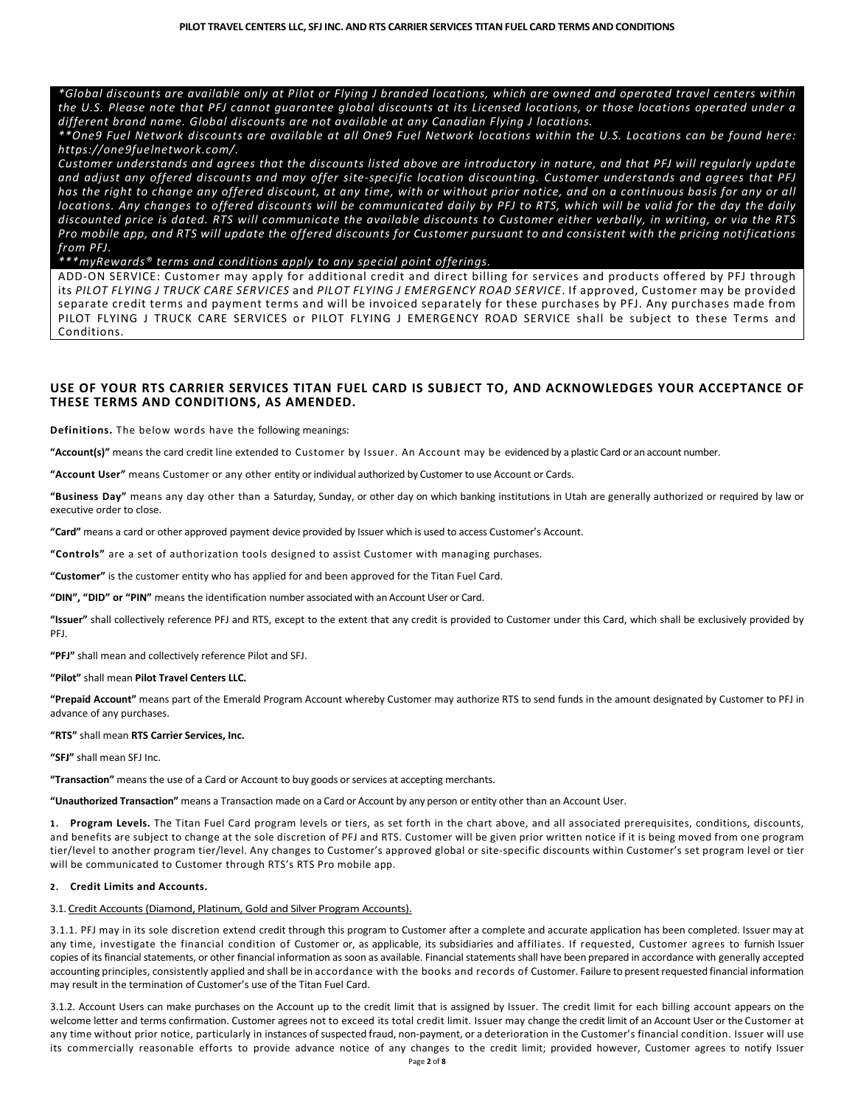*\*Global discounts are available only at Pilot or Flying J branded locations, which are owned and operated travel centers within the U.S. Please note that PFJ cannot guarantee global discounts at its Licensed locations, or those locations operated under a different brand name. Global discounts are not available at any Canadian Flying J locations.*

*\*\*One9 Fuel Network discounts are available at all One9 Fuel Network locations within the U.S. Locations can be found here: https://one9fuelnetwork.com/.*

*Customer understands and agrees that the discounts listed above are introductory in nature, and that PFJ will regularly update and adjust any offered discounts and may offer site-specific location discounting. Customer understands and agrees that PFJ has the right to change any offered discount, at any time, with or without prior notice, and on a continuous basis for any or all locations. Any changes to offered discounts will be communicated daily by PFJ to RTS, which will be valid for the day the daily discounted price is dated. RTS will communicate the available discounts to Customer either verbally, in writing, or via the RTS Pro mobile app, and RTS will update the offered discounts for Customer pursuant to and consistent with the pricing notifications from PFJ.*

*\*\*\*myRewards® terms and conditions apply to any special point offerings.*

ADD-ON SERVICE: Customer may apply for additional credit and direct billing for services and products offered by PFJ through its *PILOT FLYING J TRUCK CARE SERVICES* and *PILOT FLYING J EMERGENCY ROAD SERVICE*. If approved, Customer may be provided separate credit terms and payment terms and will be invoiced separately for these purchases by PFJ. Any purchases made from PILOT FLYING J TRUCK CARE SERVICES or PILOT FLYING J EMERGENCY ROAD SERVICE shall be subject to these Terms and Conditions.

# **USE OF YOUR RTS CARRIER SERVICES TITAN FUEL CARD IS SUBJECT TO, AND ACKNOWLEDGES YOUR ACCEPTANCE OF THESE TERMS AND CONDITIONS, AS AMENDED.**

**Definitions.** The below words have the following meanings:

**"Account(s)"** means the card credit line extended to Customer by Issuer. An Account may be evidenced by a plastic Card or an account number.

**"Account User"** means Customer or any other entity or individual authorized by Customer to use Account or Cards.

**"Business Day"** means any day other than a Saturday, Sunday, or other day on which banking institutions in Utah are generally authorized or required by law or executive order to close.

**"Card"** means a card or other approved payment device provided by Issuer which is used to access Customer's Account.

**"Controls"** are a set of authorization tools designed to assist Customer with managing purchases.

**"Customer"** is the customer entity who has applied for and been approved for the Titan Fuel Card.

**"DIN", "DID" or "PIN"** means the identification number associated with an Account User or Card.

**"Issuer"** shall collectively reference PFJ and RTS, except to the extent that any credit is provided to Customer under this Card, which shall be exclusively provided by PFJ.

**"PFJ"** shall mean and collectively reference Pilot and SFJ.

#### **"Pilot"** shall mean **Pilot Travel Centers LLC.**

**"Prepaid Account"** means part of the Emerald Program Account whereby Customer may authorize RTS to send funds in the amount designated by Customer to PFJ in advance of any purchases.

#### **"RTS"** shall mean **RTS Carrier Services, Inc.**

**"SFJ"** shall mean SFJ Inc.

**"Transaction"** means the use of a Card or Account to buy goods or services at accepting merchants.

**"Unauthorized Transaction"** means a Transaction made on a Card or Account by any person or entity other than an Account User.

**1. Program Levels.** The Titan Fuel Card program levels or tiers, as set forth in the chart above, and all associated prerequisites, conditions, discounts, and benefits are subject to change at the sole discretion of PFJ and RTS. Customer will be given prior written notice if it is being moved from one program tier/level to another program tier/level. Any changes to Customer's approved global or site-specific discounts within Customer's set program level or tier will be communicated to Customer through RTS's RTS Pro mobile app.

#### **2. Credit Limits and Accounts.**

#### 3.1. Credit Accounts (Diamond, Platinum, Gold and Silver Program Accounts).

3.1.1. PFJ may in its sole discretion extend credit through this program to Customer after a complete and accurate application has been completed. Issuer may at any time, investigate the financial condition of Customer or, as applicable, its subsidiaries and affiliates. If requested, Customer agrees to furnish Issuer copies of its financial statements, or other financial information as soon as available. Financial statements shall have been prepared in accordance with generally accepted accounting principles, consistently applied and shall be in accordance with the books and records of Customer. Failure to present requested financial information may result in the termination of Customer's use of the Titan Fuel Card.

3.1.2. Account Users can make purchases on the Account up to the credit limit that is assigned by Issuer. The credit limit for each billing account appears on the welcome letter and terms confirmation. Customer agrees not to exceed its total credit limit. Issuer may change the credit limit of an Account User or the Customer at any time without prior notice, particularly in instances of suspected fraud, non-payment, or a deterioration in the Customer's financial condition. Issuer will use its commercially reasonable efforts to provide advance notice of any changes to the credit limit; provided however, Customer agrees to notify Issuer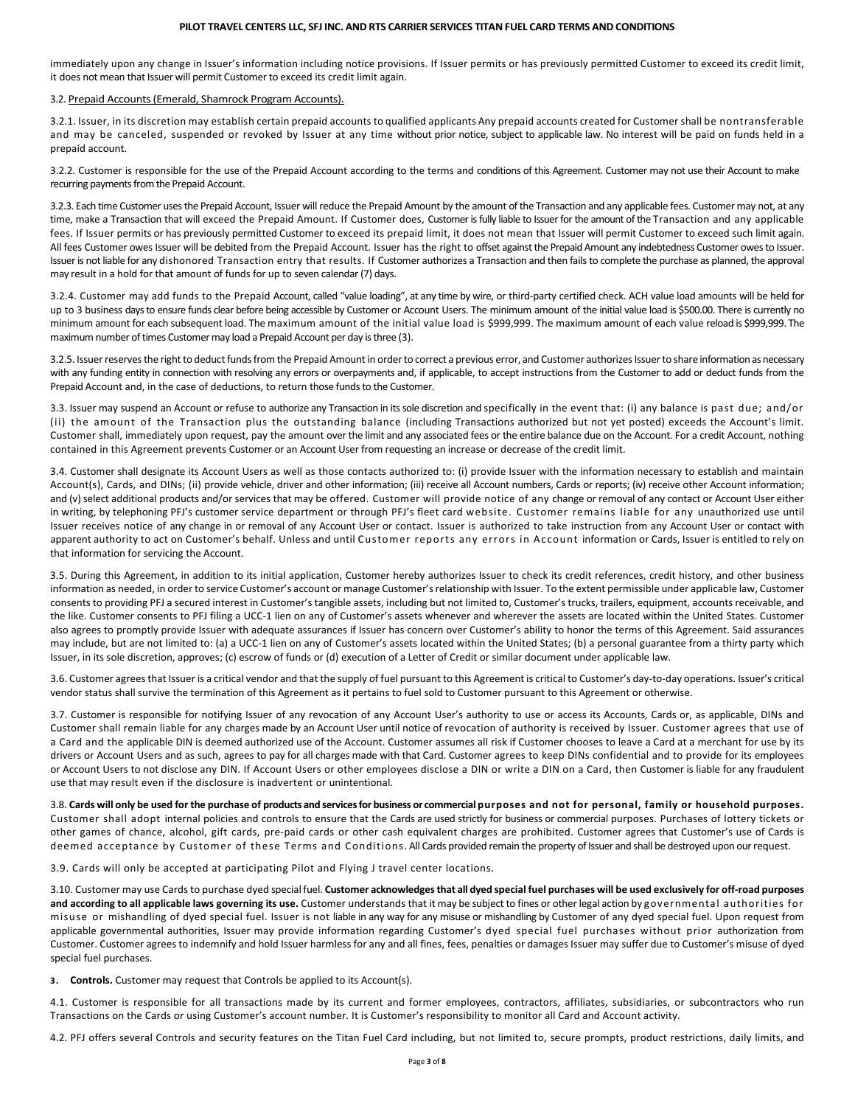immediately upon any change in Issuer's information including notice provisions. If Issuer permits or has previously permitted Customer to exceed its credit limit, it does not mean that Issuer will permit Customer to exceed its credit limit again.

#### 3.2. Prepaid Accounts(Emerald, Shamrock Program Accounts).

3.2.1. Issuer, in its discretion may establish certain prepaid accounts to qualified applicants Any prepaid accounts created for Customer shall be nontransferable and may be canceled, suspended or revoked by Issuer at any time without prior notice, subject to applicable law. No interest will be paid on funds held in a prepaid account.

3.2.2. Customer is responsible for the use of the Prepaid Account according to the terms and conditions of this Agreement. Customer may not use their Account to make recurring payments from the Prepaid Account.

3.2.3. Each time Customer uses the Prepaid Account, Issuer will reduce the Prepaid Amount by the amount of the Transaction and any applicable fees. Customer may not, at any time, make a Transaction that will exceed the Prepaid Amount. If Customer does, Customeris fully liable to Issuer for the amount of the Transaction and any applicable fees. If Issuer permits or has previously permitted Customer to exceed its prepaid limit, it does not mean that Issuer will permit Customer to exceed such limit again. All fees Customer owes Issuer will be debited from the Prepaid Account. Issuer has the right to offset against the Prepaid Amount any indebtedness Customer owes to Issuer. Issuer is not liable for any dishonored Transaction entry that results. If Customer authorizes a Transaction and then fails to complete the purchase as planned, the approval may result in a hold for that amount of funds for up to seven calendar (7) days.

3.2.4. Customer may add funds to the Prepaid Account, called "value loading", at any time by wire, or third-party certified check. ACH value load amounts will be held for up to 3 business days to ensure funds clear before being accessible by Customer or Account Users. The minimum amount of the initial value load is \$500.00. There is currently no minimum amount for each subsequent load. The maximum amount of the initial value load is \$999,999. The maximum amount of each value reload is \$999,999. The maximum number of times Customermay load a Prepaid Account per day is three (3).

3.2.5. Issuer reserves the right to deduct funds from the Prepaid Amount in order to correct a previous error, and Customer authorizes Issuer to share information as necessary with any funding entity in connection with resolving any errors or overpayments and, if applicable, to accept instructions from the Customer to add or deduct funds from the Prepaid Account and, in the case of deductions, to return those funds to the Customer.

3.3. Issuer may suspend an Account or refuse to authorize any Transaction in its sole discretion and specifically in the event that: (i) any balance is past due; and/or (ii) the amount of the Transaction plus the outstanding balance (including Transactions authorized but not yet posted) exceeds the Account's limit. Customer shall, immediately upon request, pay the amount over the limit and any associated fees or the entire balance due on the Account. For a credit Account, nothing contained in this Agreement prevents Customer or an Account User from requesting an increase or decrease of the credit limit.

3.4. Customer shall designate its Account Users as well as those contacts authorized to: (i) provide Issuer with the information necessary to establish and maintain Account(s), Cards, and DINs; (ii) provide vehicle, driver and other information; (iii) receive all Account numbers, Cards or reports; (iv) receive other Account information; and (v) select additional products and/or services that may be offered. Customer will provide notice of any change or removal of any contact or Account User either in writing, by telephoning PFJ's customer service department or through PFJ's fleet card website. Customer remains liable for any unauthorized use until Issuer receives notice of any change in or removal of any Account User or contact. Issuer is authorized to take instruction from any Account User or contact with apparent authority to act on Customer's behalf. Unless and until Customer reports any errors in Account information or Cards, Issuer is entitled to rely on that information for servicing the Account.

3.5. During this Agreement, in addition to its initial application, Customer hereby authorizes Issuer to check its credit references, credit history, and other business information as needed, in order to service Customer's account or manage Customer's relationship with Issuer. To the extent permissible under applicable law, Customer consents to providing PFJ a secured interest in Customer's tangible assets, including but not limited to, Customer's trucks, trailers, equipment, accounts receivable, and the like. Customer consents to PFJ filing a UCC-1 lien on any of Customer's assets whenever and wherever the assets are located within the United States. Customer also agrees to promptly provide Issuer with adequate assurances if Issuer has concern over Customer's ability to honor the terms of this Agreement. Said assurances may include, but are not limited to: (a) a UCC-1 lien on any of Customer's assets located within the United States; (b) a personal guarantee from a thirty party which Issuer, in its sole discretion, approves; (c) escrow of funds or (d) execution of a Letter of Credit or similar document under applicable law.

3.6. Customer agrees that Issuer is a critical vendor and that the supply of fuel pursuant to this Agreement is critical to Customer's day-to-day operations. Issuer's critical vendor status shall survive the termination of this Agreement as it pertains to fuel sold to Customer pursuant to this Agreement or otherwise.

3.7. Customer is responsible for notifying Issuer of any revocation of any Account User's authority to use or access its Accounts, Cards or, as applicable, DINs and Customer shall remain liable for any charges made by an Account User until notice of revocation of authority is received by Issuer. Customer agrees that use of a Card and the applicable DIN is deemed authorized use of the Account. Customer assumes all risk if Customer chooses to leave a Card at a merchant for use by its drivers or Account Users and as such, agrees to pay for all charges made with that Card. Customer agrees to keep DINs confidential and to provide for its employees or Account Users to not disclose any DIN. If Account Users or other employees disclose a DIN or write a DIN on a Card, then Customer is liable for any fraudulent use that may result even if the disclosure is inadvertent or unintentional.

3.8. **Cards will only be used for the purchase of products and services for business or commercial purposes and not for personal, family or household purposes.**  Customer shall adopt internal policies and controls to ensure that the Cards are used strictly for business or commercial purposes. Purchases of lottery tickets or other games of chance, alcohol, gift cards, pre-paid cards or other cash equivalent charges are prohibited. Customer agrees that Customer's use of Cards is deemed acceptance by Customer of these Terms and Conditions. All Cards provided remain the property of Issuer and shall be destroyed upon our request.

3.9. Cards will only be accepted at participating Pilot and Flying J travel center locations.

3.10. Customer may use Cards to purchase dyed special fuel. **Customer acknowledges that all dyed special fuel purchases will be used exclusively for off-road purposes and according to all applicable laws governing its use.** Customer understands that it may be subject to fines or other legal action by governmental authorities for misuse or mishandling of dyed special fuel. Issuer is not liable in any way for any misuse or mishandling by Customer of any dyed special fuel. Upon request from applicable governmental authorities, Issuer may provide information regarding Customer's dyed special fuel purchases without prior authorization from Customer. Customer agrees to indemnify and hold Issuer harmless for any and all fines, fees, penalties or damages Issuer may suffer due to Customer's misuse of dyed special fuel purchases.

**3. Controls.** Customer may request that Controls be applied to its Account(s).

4.1. Customer is responsible for all transactions made by its current and former employees, contractors, affiliates, subsidiaries, or subcontractors who run Transactions on the Cards or using Customer's account number. It is Customer's responsibility to monitor all Card and Account activity.

4.2. PFJ offers several Controls and security features on the Titan Fuel Card including, but not limited to, secure prompts, product restrictions, daily limits, and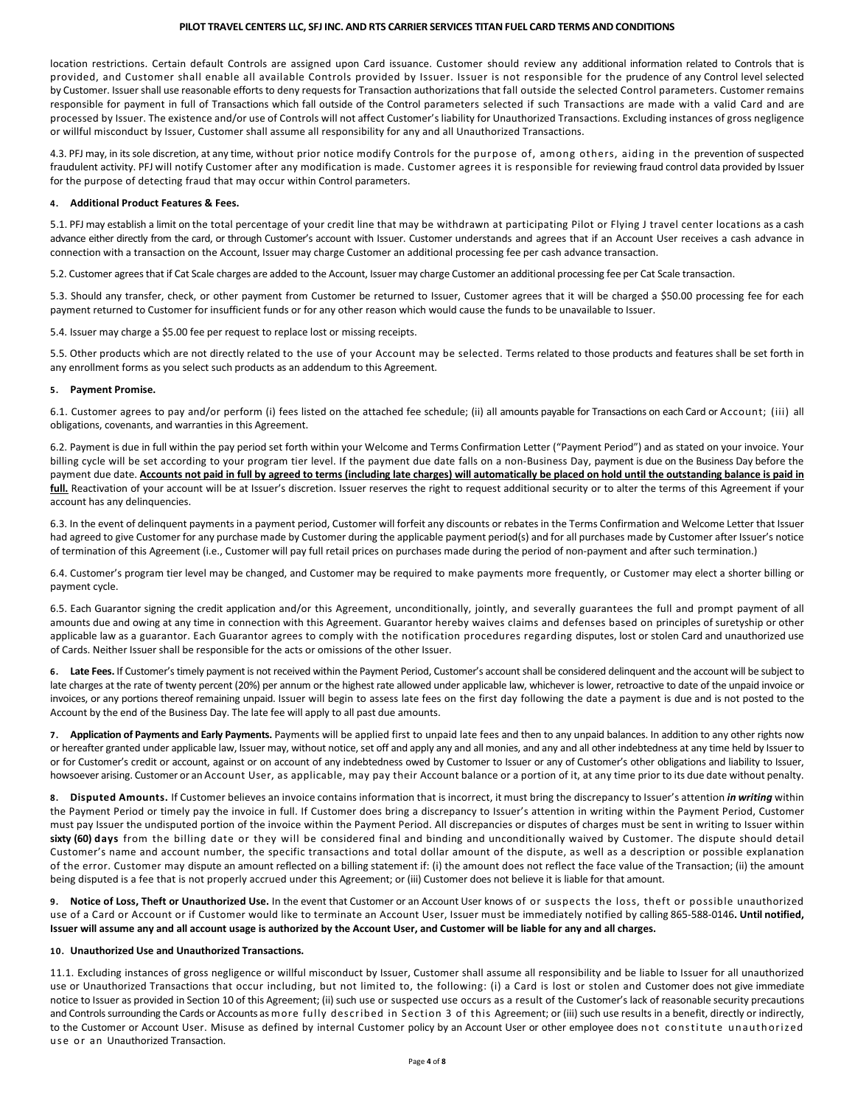location restrictions. Certain default Controls are assigned upon Card issuance. Customer should review any additional information related to Controls that is provided, and Customer shall enable all available Controls provided by Issuer. Issuer is not responsible for the prudence of any Control level selected by Customer. Issuer shall use reasonable efforts to deny requests for Transaction authorizations that fall outside the selected Control parameters. Customer remains responsible for payment in full of Transactions which fall outside of the Control parameters selected if such Transactions are made with a valid Card and are processed by Issuer. The existence and/or use of Controls will not affect Customer's liability for Unauthorized Transactions. Excluding instances of gross negligence or willful misconduct by Issuer, Customer shall assume all responsibility for any and all Unauthorized Transactions.

4.3. PFJ may, in its sole discretion, at any time, without prior notice modify Controls for the purpose of, among others, aiding in the prevention of suspected fraudulent activity. PFJ will notify Customer after any modification is made. Customer agrees it is responsible for reviewing fraud control data provided by Issuer for the purpose of detecting fraud that may occur within Control parameters.

#### **4. Additional Product Features & Fees.**

5.1. PFJ may establish a limit on the total percentage of your credit line that may be withdrawn at participating Pilot or Flying J travel center locations as a cash advance either directly from the card, or through Customer's account with Issuer. Customer understands and agrees that if an Account User receives a cash advance in connection with a transaction on the Account, Issuer may charge Customer an additional processing fee per cash advance transaction.

5.2. Customer agrees that if Cat Scale charges are added to the Account, Issuer may charge Customer an additional processing fee per Cat Scale transaction.

5.3. Should any transfer, check, or other payment from Customer be returned to Issuer, Customer agrees that it will be charged a \$50.00 processing fee for each payment returned to Customer for insufficient funds or for any other reason which would cause the funds to be unavailable to Issuer.

5.4. Issuer may charge a \$5.00 fee per request to replace lost or missing receipts.

5.5. Other products which are not directly related to the use of your Account may be selected. Terms related to those products and features shall be set forth in any enrollment forms as you select such products as an addendum to this Agreement.

### **5. Payment Promise.**

6.1. Customer agrees to pay and/or perform (i) fees listed on the attached fee schedule; (ii) all amounts payable for Transactions on each Card or Account; (iii) all obligations, covenants, and warranties in this Agreement.

6.2. Payment is due in full within the pay period set forth within your Welcome and Terms Confirmation Letter ("Payment Period") and as stated on your invoice. Your billing cycle will be set according to your program tier level. If the payment due date falls on a non-Business Day, payment is due on the Business Day before the payment due date. **Accounts not paid in full by agreed to terms (including late charges) will automatically be placed on hold until the outstanding balance is paid in full.** Reactivation of your account will be at Issuer's discretion. Issuer reserves the right to request additional security or to alter the terms of this Agreement if your account has any delinquencies.

6.3. In the event of delinquent payments in a payment period, Customer will forfeit any discounts or rebates in the Terms Confirmation and Welcome Letter that Issuer had agreed to give Customer for any purchase made by Customer during the applicable payment period(s) and for all purchases made by Customer after Issuer's notice of termination of this Agreement (i.e., Customer will pay full retail prices on purchases made during the period of non-payment and after such termination.)

6.4. Customer's program tier level may be changed, and Customer may be required to make payments more frequently, or Customer may elect a shorter billing or payment cycle.

6.5. Each Guarantor signing the credit application and/or this Agreement, unconditionally, jointly, and severally guarantees the full and prompt payment of all amounts due and owing at any time in connection with this Agreement. Guarantor hereby waives claims and defenses based on principles of suretyship or other applicable law as a guarantor. Each Guarantor agrees to comply with the notification procedures regarding disputes, lost or stolen Card and unauthorized use of Cards. Neither Issuer shall be responsible for the acts or omissions of the other Issuer.

**6. Late Fees.** If Customer's timely payment is not received within the Payment Period, Customer's account shall be considered delinquent and the account will be subject to late charges at the rate of twenty percent (20%) per annum or the highest rate allowed under applicable law, whichever is lower, retroactive to date of the unpaid invoice or invoices, or any portions thereof remaining unpaid. Issuer will begin to assess late fees on the first day following the date a payment is due and is not posted to the Account by the end of the Business Day. The late fee will apply to all past due amounts.

**7. Application of Payments and Early Payments.** Payments will be applied first to unpaid late fees and then to any unpaid balances. In addition to any other rights now or hereafter granted under applicable law, Issuer may, without notice, set off and apply any and all monies, and any and all other indebtedness at any time held by Issuer to or for Customer's credit or account, against or on account of any indebtedness owed by Customer to Issuer or any of Customer's other obligations and liability to Issuer, howsoever arising. Customer or an Account User, as applicable, may pay their Account balance or a portion of it, at any time prior to its due date without penalty.

**8. Disputed Amounts.** If Customer believes an invoice contains information that is incorrect, it must bring the discrepancy to Issuer's attention *in writing* within the Payment Period or timely pay the invoice in full. If Customer does bring a discrepancy to Issuer's attention in writing within the Payment Period, Customer must pay Issuer the undisputed portion of the invoice within the Payment Period. All discrepancies or disputes of charges must be sent in writing to Issuer within **sixty (60) days** from the billing date or they will be considered final and binding and unconditionally waived by Customer. The dispute should detail Customer's name and account number, the specific transactions and total dollar amount of the dispute, as well as a description or possible explanation of the error. Customer may dispute an amount reflected on a billing statement if: (i) the amount does not reflect the face value of the Transaction; (ii) the amount being disputed is a fee that is not properly accrued under this Agreement; or (iii) Customer does not believe it is liable for that amount.

**9. Notice of Loss, Theft or Unauthorized Use.** In the event that Customer or an Account User knows of or suspects the loss, theft or possible unauthorized use of a Card or Account or if Customer would like to terminate an Account User, Issuer must be immediately notified by calling 865-588-0146**. Until notified, Issuer will assume any and all account usage is authorized by the Account User, and Customer will be liable for any and all charges.**

### **10. Unauthorized Use and Unauthorized Transactions.**

11.1. Excluding instances of gross negligence or willful misconduct by Issuer, Customer shall assume all responsibility and be liable to Issuer for all unauthorized use or Unauthorized Transactions that occur including, but not limited to, the following: (i) a Card is lost or stolen and Customer does not give immediate notice to Issuer as provided in Section 10 of this Agreement; (ii) such use or suspected use occurs as a result of the Customer's lack of reasonable security precautions and Controls surrounding the Cards or Accounts as more fully described in Section 3 of this Agreement; or (iii) such use results in a benefit, directly or indirectly, to the Customer or Account User. Misuse as defined by internal Customer policy by an Account User or other employee does not constitute unauthorized use or an Unauthorized Transaction.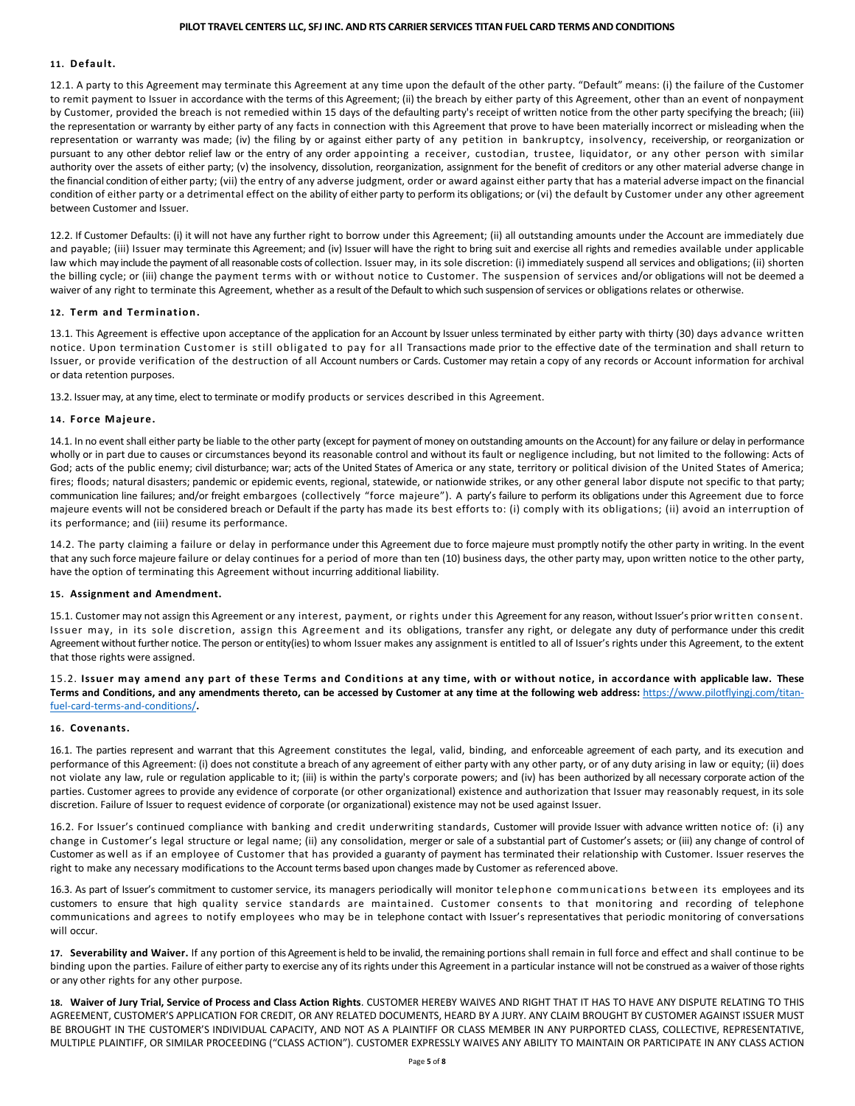### **11. Default.**

12.1. A party to this Agreement may terminate this Agreement at any time upon the default of the other party. "Default" means: (i) the failure of the Customer to remit payment to Issuer in accordance with the terms of this Agreement; (ii) the breach by either party of this Agreement, other than an event of nonpayment by Customer, provided the breach is not remedied within 15 days of the defaulting party's receipt of written notice from the other party specifying the breach; (iii) the representation or warranty by either party of any facts in connection with this Agreement that prove to have been materially incorrect or misleading when the representation or warranty was made; (iv) the filing by or against either party of any petition in bankruptcy, insolvency, receivership, or reorganization or pursuant to any other debtor relief law or the entry of any order appointing a receiver, custodian, trustee, liquidator, or any other person with similar authority over the assets of either party; (v) the insolvency, dissolution, reorganization, assignment for the benefit of creditors or any other material adverse change in the financial condition of either party; (vii) the entry of any adverse judgment, order or award against either party that has a material adverse impact on the financial condition of either party or a detrimental effect on the ability of either party to perform its obligations; or (vi) the default by Customer under any other agreement between Customer and Issuer.

12.2. If Customer Defaults: (i) it will not have any further right to borrow under this Agreement; (ii) all outstanding amounts under the Account are immediately due and payable; (iii) Issuer may terminate this Agreement; and (iv) Issuer will have the right to bring suit and exercise all rights and remedies available under applicable law which may include the payment of all reasonable costs of collection. Issuer may, in its sole discretion: (i) immediately suspend all services and obligations; (ii) shorten the billing cycle; or (iii) change the payment terms with or without notice to Customer. The suspension of services and/or obligations will not be deemed a waiver of any right to terminate this Agreement, whether as a result of the Default to which such suspension of services or obligations relates or otherwise.

#### **12. Term and Termination.**

13.1. This Agreement is effective upon acceptance of the application for an Account by Issuer unless terminated by either party with thirty (30) days advance written notice. Upon termination Customer is still obligated to pay for all Transactions made prior to the effective date of the termination and shall return to Issuer, or provide verification of the destruction of all Account numbers or Cards. Customer may retain a copy of any records or Account information for archival or data retention purposes.

13.2. Issuer may, at any time, elect to terminate or modify products or services described in this Agreement.

#### **14. Force Majeure.**

14.1. In no event shall either party be liable to the other party (except for payment of money on outstanding amounts on the Account) for any failure or delay in performance wholly or in part due to causes or circumstances beyond its reasonable control and without its fault or negligence including, but not limited to the following: Acts of God; acts of the public enemy; civil disturbance; war; acts of the United States of America or any state, territory or political division of the United States of America; fires; floods; natural disasters; pandemic or epidemic events, regional, statewide, or nationwide strikes, or any other general labor dispute not specific to that party; communication line failures; and/or freight embargoes (collectively "force majeure"). A party's failure to perform its obligations under this Agreement due to force majeure events will not be considered breach or Default if the party has made its best efforts to: (i) comply with its obligations; (ii) avoid an interruption of its performance; and (iii) resume its performance.

14.2. The party claiming a failure or delay in performance under this Agreement due to force majeure must promptly notify the other party in writing. In the event that any such force majeure failure or delay continues for a period of more than ten (10) business days, the other party may, upon written notice to the other party, have the option of terminating this Agreement without incurring additional liability.

#### **15. Assignment and Amendment.**

15.1. Customer may not assign this Agreement or any interest, payment, or rights under this Agreement for any reason, without Issuer's prior written consent. Issuer may, in its sole discretion, assign this Agreement and its obligations, transfer any right, or delegate any duty of performance under this credit Agreement without further notice. The person or entity(ies) to whom Issuer makes any assignment is entitled to all of Issuer's rights under this Agreement, to the extent that those rights were assigned.

15.2. **Issuer may amend any part of these Terms and Conditions at any time, with or without notice, in accordance with applicable law. These Terms and Conditions, and any amendments thereto, can be accessed by Customer at any time at the following web address:** [https://www.pilotflyingj.com/titan](https://www.pilotflyingj.com/titan-fuel-card-terms-and-conditions/)[fuel-card-terms-and-conditions/](https://www.pilotflyingj.com/titan-fuel-card-terms-and-conditions/)**.** 

#### **16. Covenants.**

16.1. The parties represent and warrant that this Agreement constitutes the legal, valid, binding, and enforceable agreement of each party, and its execution and performance of this Agreement: (i) does not constitute a breach of any agreement of either party with any other party, or of any duty arising in law or equity; (ii) does not violate any law, rule or regulation applicable to it; (iii) is within the party's corporate powers; and (iv) has been authorized by all necessary corporate action of the parties. Customer agrees to provide any evidence of corporate (or other organizational) existence and authorization that Issuer may reasonably request, in its sole discretion. Failure of Issuer to request evidence of corporate (or organizational) existence may not be used against Issuer.

16.2. For Issuer's continued compliance with banking and credit underwriting standards, Customer will provide Issuer with advance written notice of: (i) any change in Customer's legal structure or legal name; (ii) any consolidation, merger or sale of a substantial part of Customer's assets; or (iii) any change of control of Customer as well as if an employee of Customer that has provided a guaranty of payment has terminated their relationship with Customer. Issuer reserves the right to make any necessary modifications to the Account terms based upon changes made by Customer as referenced above.

16.3. As part of Issuer's commitment to customer service, its managers periodically will monitor telephone communications between its employees and its customers to ensure that high quality service standards are maintained. Customer consents to that monitoring and recording of telephone communications and agrees to notify employees who may be in telephone contact with Issuer's representatives that periodic monitoring of conversations will occur.

**17. Severability and Waiver.** If any portion of this Agreement is held to be invalid, the remaining portions shall remain in full force and effect and shall continue to be binding upon the parties. Failure of either party to exercise any of its rights under this Agreement in a particular instance will not be construed as a waiver of those rights or any other rights for any other purpose.

**18. Waiver of Jury Trial, Service of Process and Class Action Rights**. CUSTOMER HEREBY WAIVES AND RIGHT THAT IT HAS TO HAVE ANY DISPUTE RELATING TO THIS AGREEMENT, CUSTOMER'S APPLICATION FOR CREDIT, OR ANY RELATED DOCUMENTS, HEARD BY A JURY. ANY CLAIM BROUGHT BY CUSTOMER AGAINST ISSUER MUST BE BROUGHT IN THE CUSTOMER'S INDIVIDUAL CAPACITY, AND NOT AS A PLAINTIFF OR CLASS MEMBER IN ANY PURPORTED CLASS, COLLECTIVE, REPRESENTATIVE, MULTIPLE PLAINTIFF, OR SIMILAR PROCEEDING ("CLASS ACTION"). CUSTOMER EXPRESSLY WAIVES ANY ABILITY TO MAINTAIN OR PARTICIPATE IN ANY CLASS ACTION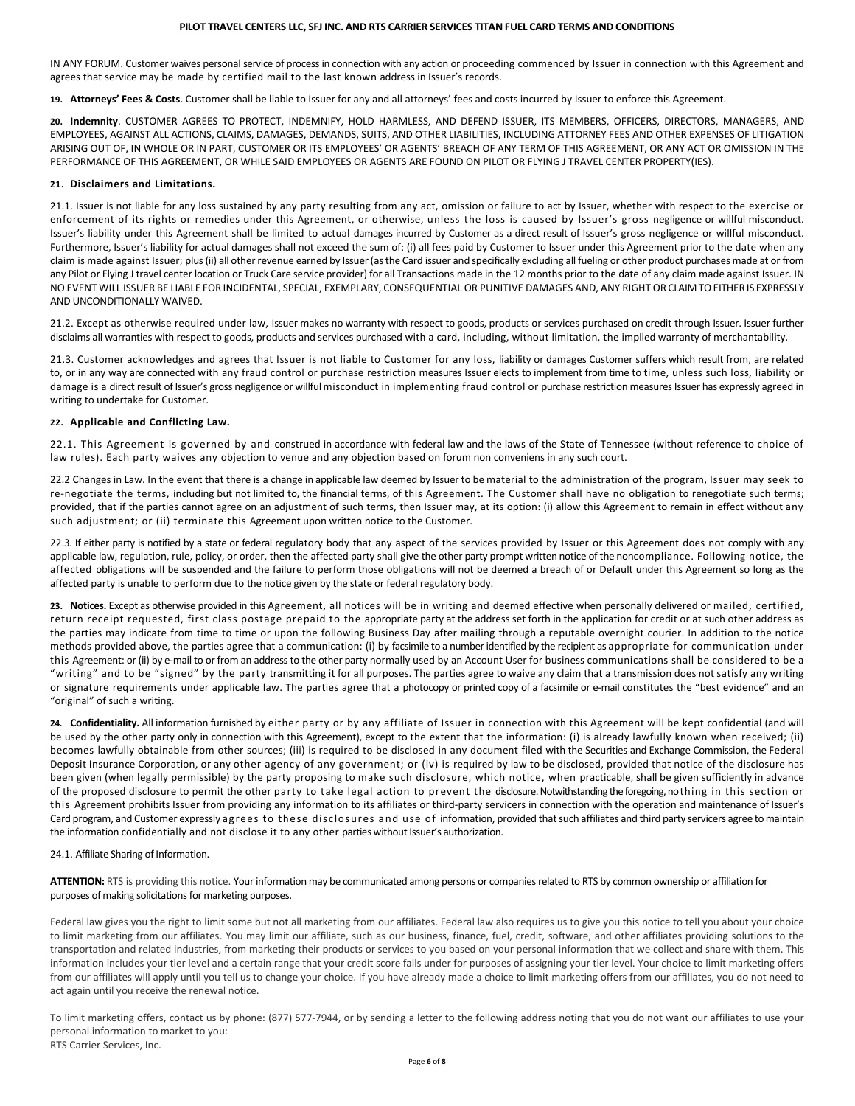IN ANY FORUM. Customer waives personal service of process in connection with any action or proceeding commenced by Issuer in connection with this Agreement and agrees that service may be made by certified mail to the last known address in Issuer's records.

**19. Attorneys' Fees & Costs**. Customer shall be liable to Issuer for any and all attorneys' fees and costs incurred by Issuer to enforce this Agreement.

**20. Indemnity**. CUSTOMER AGREES TO PROTECT, INDEMNIFY, HOLD HARMLESS, AND DEFEND ISSUER, ITS MEMBERS, OFFICERS, DIRECTORS, MANAGERS, AND EMPLOYEES, AGAINST ALL ACTIONS, CLAIMS, DAMAGES, DEMANDS, SUITS, AND OTHER LIABILITIES, INCLUDING ATTORNEY FEES AND OTHER EXPENSES OF LITIGATION ARISING OUT OF, IN WHOLE OR IN PART, CUSTOMER OR ITS EMPLOYEES' OR AGENTS' BREACH OF ANY TERM OF THIS AGREEMENT, OR ANY ACT OR OMISSION IN THE PERFORMANCE OF THIS AGREEMENT, OR WHILE SAID EMPLOYEES OR AGENTS ARE FOUND ON PILOT OR FLYING J TRAVEL CENTER PROPERTY(IES).

### **21. Disclaimers and Limitations.**

21.1. Issuer is not liable for any loss sustained by any party resulting from any act, omission or failure to act by Issuer, whether with respect to the exercise or enforcement of its rights or remedies under this Agreement, or otherwise, unless the loss is caused by Issuer's gross negligence or willful misconduct. Issuer's liability under this Agreement shall be limited to actual damages incurred by Customer as a direct result of Issuer's gross negligence or willful misconduct. Furthermore, Issuer's liability for actual damages shall not exceed the sum of: (i) all fees paid by Customer to Issuer under this Agreement prior to the date when any claim is made against Issuer; plus (ii) all other revenue earned by Issuer (as the Card issuer and specifically excluding all fueling or other product purchases made at or from any Pilot or Flying J travel center location or Truck Care service provider) for all Transactions made in the 12 months prior to the date of any claim made against Issuer. IN NO EVENT WILL ISSUER BE LIABLE FOR INCIDENTAL, SPECIAL, EXEMPLARY, CONSEQUENTIAL OR PUNITIVE DAMAGES AND, ANY RIGHT OR CLAIM TO EITHER IS EXPRESSLY AND UNCONDITIONALLY WAIVED.

21.2. Except as otherwise required under law, Issuer makes no warranty with respect to goods, products or services purchased on credit through Issuer. Issuer further disclaims all warranties with respect to goods, products and services purchased with a card, including, without limitation, the implied warranty of merchantability.

21.3. Customer acknowledges and agrees that Issuer is not liable to Customer for any loss, liability or damages Customer suffers which result from, are related to, or in any way are connected with any fraud control or purchase restriction measures Issuer elects to implement from time to time, unless such loss, liability or damage is a direct result of Issuer's gross negligence or willful misconduct in implementing fraud control or purchase restriction measures Issuer has expressly agreed in writing to undertake for Customer.

#### **22. Applicable and Conflicting Law.**

22.1. This Agreement is governed by and construed in accordance with federal law and the laws of the State of Tennessee (without reference to choice of law rules). Each party waives any objection to venue and any objection based on forum non conveniens in any such court.

22.2 Changes in Law. In the event that there is a change in applicable law deemed by Issuer to be material to the administration of the program, Issuer may seek to re-negotiate the terms, including but not limited to, the financial terms, of this Agreement. The Customer shall have no obligation to renegotiate such terms; provided, that if the parties cannot agree on an adjustment of such terms, then Issuer may, at its option: (i) allow this Agreement to remain in effect without any such adjustment; or (ii) terminate this Agreement upon written notice to the Customer.

22.3. If either party is notified by a state or federal regulatory body that any aspect of the services provided by Issuer or this Agreement does not comply with any applicable law, regulation, rule, policy, or order, then the affected party shall give the other party prompt written notice of the noncompliance. Following notice, the affected obligations will be suspended and the failure to perform those obligations will not be deemed a breach of or Default under this Agreement so long as the affected party is unable to perform due to the notice given by the state or federal regulatory body.

**23. Notices.** Except as otherwise provided in this Agreement, all notices will be in writing and deemed effective when personally delivered or mailed, certified, return receipt requested, first class postage prepaid to the appropriate party at the address set forth in the application for credit or at such other address as the parties may indicate from time to time or upon the following Business Day after mailing through a reputable overnight courier. In addition to the notice methods provided above, the parties agree that a communication: (i) by facsimile to a number identified by the recipient as appropriate for communication under this Agreement: or (ii) by e-mail to or from an address to the other party normally used by an Account User for business communications shall be considered to be a "writing" and to be "signed" by the party transmitting it for all purposes. The parties agree to waive any claim that a transmission does not satisfy any writing or signature requirements under applicable law. The parties agree that a photocopy or printed copy of a facsimile or e-mail constitutes the "best evidence" and an "original" of such a writing.

**24. Confidentiality.** All information furnished by either party or by any affiliate of Issuer in connection with this Agreement will be kept confidential (and will be used by the other party only in connection with this Agreement), except to the extent that the information: (i) is already lawfully known when received; (ii) becomes lawfully obtainable from other sources; (iii) is required to be disclosed in any document filed with the Securities and Exchange Commission, the Federal Deposit Insurance Corporation, or any other agency of any government; or (iv) is required by law to be disclosed, provided that notice of the disclosure has been given (when legally permissible) by the party proposing to make such disclosure, which notice, when practicable, shall be given sufficiently in advance of the proposed disclosure to permit the other party to take legal action to prevent the disclosure.Notwithstanding the foregoing, nothing in this section or this Agreement prohibits Issuer from providing any information to its affiliates or third-party servicers in connection with the operation and maintenance of Issuer's Card program, and Customer expressly agrees to these disclosures and use of information, provided that such affiliates and third party servicers agree to maintain the information confidentially and not disclose it to any other parties without Issuer's authorization.

#### 24.1. Affiliate Sharing of Information.

**ATTENTION:** RTS is providing this notice. Your information may be communicated among persons or companies related to RTS by common ownership or affiliation for purposes of making solicitations for marketing purposes.

Federal law gives you the right to limit some but not all marketing from our affiliates. Federal law also requires us to give you this notice to tell you about your choice to limit marketing from our affiliates. You may limit our affiliate, such as our business, finance, fuel, credit, software, and other affiliates providing solutions to the transportation and related industries, from marketing their products or services to you based on your personal information that we collect and share with them. This information includes your tier level and a certain range that your credit score falls under for purposes of assigning your tier level. Your choice to limit marketing offers from our affiliates will apply until you tell us to change your choice. If you have already made a choice to limit marketing offers from our affiliates, you do not need to act again until you receive the renewal notice.

To limit marketing offers, contact us by phone: (877) 577-7944, or by sending a letter to the following address noting that you do not want our affiliates to use your personal information to market to you: RTS Carrier Services, Inc.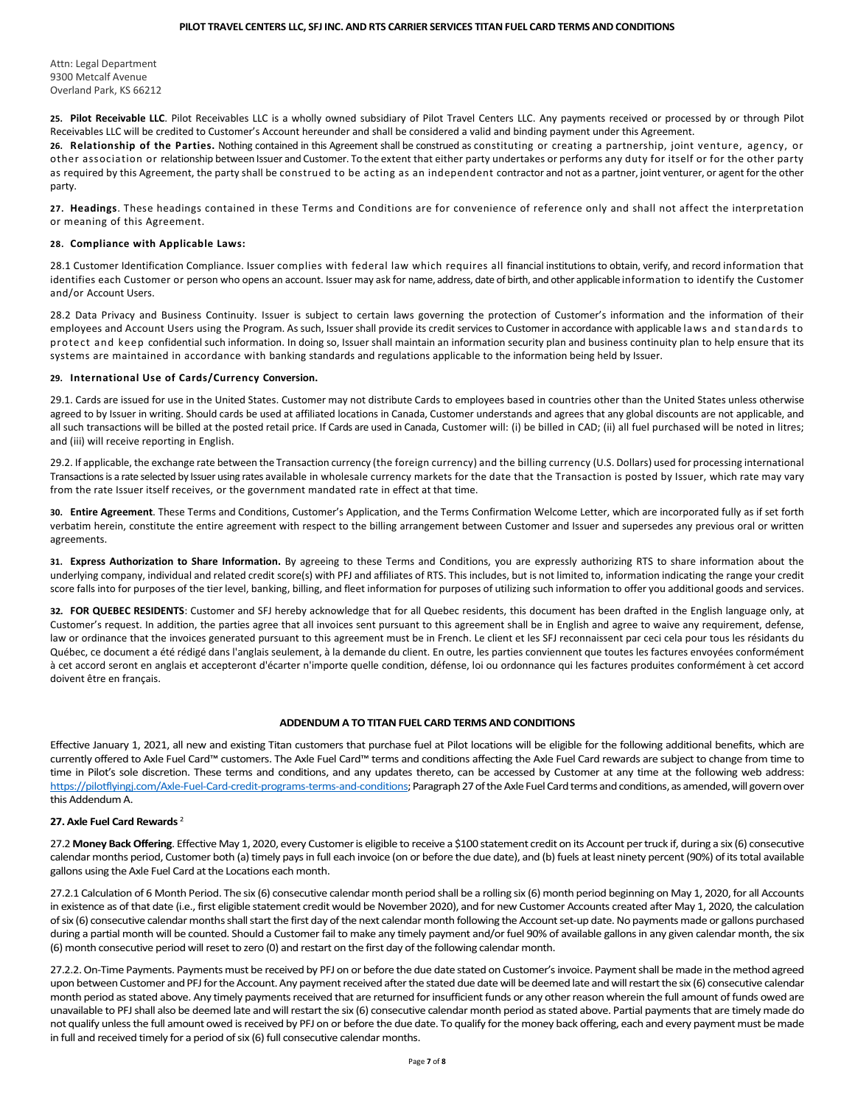Attn: Legal Department 9300 Metcalf Avenue Overland Park, KS 66212

**25. Pilot Receivable LLC**. Pilot Receivables LLC is a wholly owned subsidiary of Pilot Travel Centers LLC. Any payments received or processed by or through Pilot Receivables LLC will be credited to Customer's Account hereunder and shall be considered a valid and binding payment under this Agreement.

**26. Relationship of the Parties.** Nothing contained in this Agreement shall be construed as constituting or creating a partnership, joint venture, agency, or other association or relationship between Issuer and Customer. To the extent that either party undertakes or performs any duty for itself or for the other party as required by this Agreement, the party shall be construed to be acting as an independent contractor and not as a partner, joint venturer, or agent for the other party.

**27. Headings**. These headings contained in these Terms and Conditions are for convenience of reference only and shall not affect the interpretation or meaning of this Agreement.

## **28. Compliance with Applicable Laws:**

28.1 Customer Identification Compliance. Issuer complies with federal law which requires all financial institutions to obtain, verify, and record information that identifies each Customer or person who opens an account. Issuer may ask for name, address, date of birth, and other applicable information to identify the Customer and/or Account Users.

28.2 Data Privacy and Business Continuity. Issuer is subject to certain laws governing the protection of Customer's information and the information of their employees and Account Users using the Program. As such, Issuer shall provide its credit services to Customer in accordance with applicable laws and standards to protect and keep confidential such information. In doing so, Issuer shall maintain an information security plan and business continuity plan to help ensure that its systems are maintained in accordance with banking standards and regulations applicable to the information being held by Issuer.

#### **29. International Use of Cards/Currency Conversion.**

29.1. Cards are issued for use in the United States. Customer may not distribute Cards to employees based in countries other than the United States unless otherwise agreed to by Issuer in writing. Should cards be used at affiliated locations in Canada, Customer understands and agrees that any global discounts are not applicable, and all such transactions will be billed at the posted retail price. If Cards are used in Canada, Customer will: (i) be billed in CAD; (ii) all fuel purchased will be noted in litres; and (iii) will receive reporting in English.

29.2. If applicable, the exchange rate between the Transaction currency (the foreign currency) and the billing currency (U.S. Dollars) used for processing international Transactions is a rate selected by Issuer using rates available in wholesale currency markets for the date that the Transaction is posted by Issuer, which rate may vary from the rate Issuer itself receives, or the government mandated rate in effect at that time.

**30. Entire Agreement**. These Terms and Conditions, Customer's Application, and the Terms Confirmation Welcome Letter, which are incorporated fully as if set forth verbatim herein, constitute the entire agreement with respect to the billing arrangement between Customer and Issuer and supersedes any previous oral or written agreements.

**31. Express Authorization to Share Information.** By agreeing to these Terms and Conditions, you are expressly authorizing RTS to share information about the underlying company, individual and related credit score(s) with PFJ and affiliates of RTS. This includes, but is not limited to, information indicating the range your credit score falls into for purposes of the tier level, banking, billing, and fleet information for purposes of utilizing such information to offer you additional goods and services.

**32. FOR QUEBEC RESIDENTS**: Customer and SFJ hereby acknowledge that for all Quebec residents, this document has been drafted in the English language only, at Customer's request. In addition, the parties agree that all invoices sent pursuant to this agreement shall be in English and agree to waive any requirement, defense, law or ordinance that the invoices generated pursuant to this agreement must be in French. Le client et les SFJ reconnaissent par ceci cela pour tous les résidants du Québec, ce document a été rédigé dans l'anglais seulement, à la demande du client. En outre, les parties conviennent que toutes les factures envoyées conformément à cet accord seront en anglais et accepteront d'écarter n'importe quelle condition, défense, loi ou ordonnance qui les factures produites conformément à cet accord doivent être en français.

## **ADDENDUM A TO TITAN FUEL CARD TERMS AND CONDITIONS**

Effective January 1, 2021, all new and existing Titan customers that purchase fuel at Pilot locations will be eligible for the following additional benefits, which are currently offered to Axle Fuel Card™ customers. The Axle Fuel Card™ terms and conditions affecting the Axle Fuel Card rewards are subject to change from time to time in Pilot's sole discretion. These terms and conditions, and any updates thereto, can be accessed by Customer at any time at the following web address: [https://pilotflyingj.com/Axle-Fuel-Card-credit-programs-terms-and-conditions;](https://pilotflyingj.com/Axle-Fuel-Card-credit-programs-terms-and-conditions) Paragraph 27 of the Axle Fuel Card terms and conditions, as amended, will govern over this Addendum A.

## **27. Axle Fuel Card Rewards** <sup>2</sup>

27.2 **Money Back Offering**. Effective May 1, 2020, every Customer is eligible to receive a \$100 statement credit on its Account per truck if, during a six (6) consecutive calendar months period, Customer both (a) timely pays in full each invoice (on or before the due date), and (b) fuels at least ninety percent (90%) of its total available gallons using the Axle Fuel Card at the Locations each month.

27.2.1 Calculation of 6 Month Period. The six (6) consecutive calendar month period shall be a rolling six (6) month period beginning on May 1, 2020, for all Accounts in existence as of that date (i.e., first eligible statement credit would be November 2020), and for new Customer Accounts created after May 1, 2020, the calculation of six (6) consecutive calendar months shall start the first day of the next calendar month following the Account set-up date. No payments made or gallons purchased during a partial month will be counted. Should a Customer fail to make any timely payment and/or fuel 90% of available gallons in any given calendar month, the six (6) month consecutive period will reset to zero (0) and restart on the first day of the following calendar month.

27.2.2. On-Time Payments. Payments must be received by PFJ on or before the due date stated on Customer's invoice. Payment shall be made in the method agreed upon between Customer and PFJ for the Account. Any payment received after the stated due date will be deemed late and will restart the six (6) consecutive calendar month period as stated above. Any timely payments received that are returned for insufficient funds or any other reason wherein the full amount of funds owed are unavailable to PFJ shall also be deemed late and will restart the six (6) consecutive calendar month period as stated above. Partial payments that are timely made do not qualify unless the full amount owed is received by PFJ on or before the due date. To qualify for the money back offering, each and every payment must be made in full and received timely for a period of six (6) full consecutive calendar months.